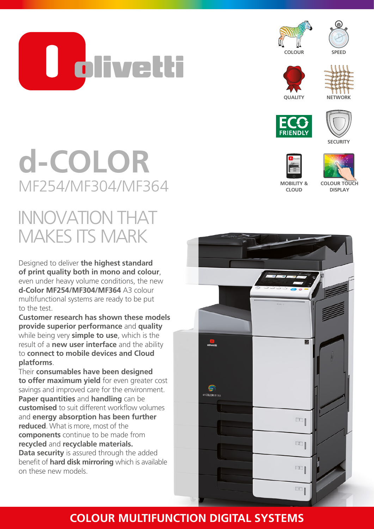**TU olivetti** 

















**DISPLAY** 

# **d-COLOR** MF254/MF304/MF364

### INNOVATION THAT MAKES ITS MARK

Designed to deliver **the highest standard of print quality both in mono and colour**, even under heavy volume conditions, the new **d-Color MF254/MF304/MF364** A3 colour multifunctional systems are ready to be put to the test.

**Customer research has shown these models provide superior performance** and **quality** while being very **simple to use**, which is the result of a **new user interface** and the ability to **connect to mobile devices and Cloud platforms**.

Their **consumables have been designed to offer maximum yield** for even greater cost savings and improved care for the environment. **Paper quantities** and **handling** can be **customised** to suit different workflow volumes and **energy absorption has been further reduced**. What is more, most of the **components** continue to be made from **recycled** and **recyclable materials. Data security** is assured through the added benefit of **hard disk mirroring** which is available on these new models.



### **COLOUR MULTIFUNCTION DIGITAL SYSTEMS**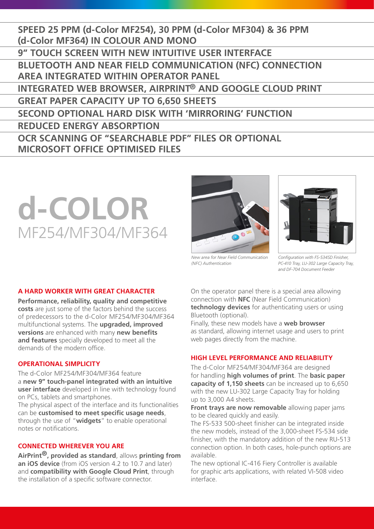**SPEED 25 PPM (d-Color MF254), 30 PPM (d-Color MF304) & 36 PPM (d-Color MF364) IN COLOUR AND MONO 9" TOUCH SCREEN WITH NEW INTUITIVE USER INTERFACE BLUETOOTH AND NEAR FIELD COMMUNICATION (NFC) CONNECTION AREA INTEGRATED WITHIN OPERATOR PANEL INTEGRATED WEB BROWSER, AIRPRINT® AND GOOGLE CLOUD PRINT GREAT PAPER CAPACITY UP TO 6,650 SHEETS SECOND OPTIONAL HARD DISK WITH 'MIRRORING' FUNCTION REDUCED ENERGY ABSORPTION OCR SCANNING OF "SEARCHABLE PDF" FILES OR OPTIONAL MICROSOFT OFFICE OPTIMISED FILES**

## **d-COLOR** MF254/MF304/MF364





*New area for Near Field Communication (NFC) Authentication*

*Configuration with FS-534SD Finisher, PC-410 Tray, LU-302 Large Capacity Tray, and DF-704 Document Feeder* 

#### **A HARD WORKER WITH GREAT CHARACTER**

**Performance, reliability, quality and competitive costs** are just some of the factors behind the success of predecessors to the d-Color MF254/MF304/MF364 multifunctional systems. The **upgraded, improved versions** are enhanced with many **new benefits and features** specially developed to meet all the demands of the modern office.

#### **OPERATIONAL SIMPLICITY**

The d-Color MF254/MF304/MF364 feature a **new 9" touch-panel integrated with an intuitive user interface** developed in line with technology found on PCs, tablets and smartphones.

The physical aspect of the interface and its functionalities can be **customised to meet specific usage needs**, through the use of "**widgets**" to enable operational notes or notifications.

#### **CONNECTED WHEREVER YOU ARE**

**AirPrint®, provided as standard**, allows **printing from an iOS device** (from iOS version 4.2 to 10.7 and later) and **compatibility with Google Cloud Print**, through the installation of a specific software connector.

On the operator panel there is a special area allowing connection with **NFC** (Near Field Communication) **technology devices** for authenticating users or using Bluetooth (optional).

Finally, these new models have a **web browser** as standard, allowing internet usage and users to print web pages directly from the machine.

#### **HIGH LEVEL PERFORMANCE AND RELIABILITY**

The d-Color MF254/MF304/MF364 are designed for handling **high volumes of print**. The **basic paper capacity of 1,150 sheets** can be increased up to 6,650 with the new LU-302 Large Capacity Tray for holding up to 3,000 A4 sheets.

**Front trays are now removable** allowing paper jams to be cleared quickly and easily.

The FS-533 500-sheet finisher can be integrated inside the new models, instead of the 3,000-sheet FS-534 side finisher, with the mandatory addition of the new RU-513 connection option. In both cases, hole-punch options are available.

The new optional IC-416 Fiery Controller is available for graphic arts applications, with related VI-508 video interface.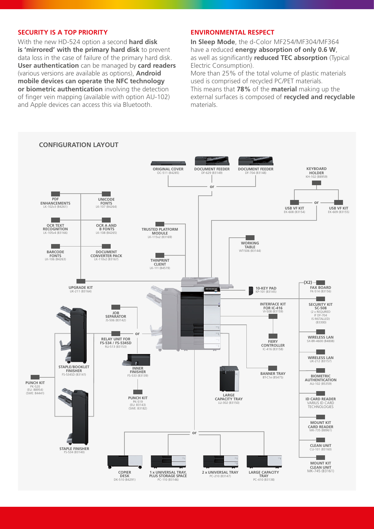#### **SECURITY IS A TOP PRIORITY**

With the new HD-524 option a second **hard disk is 'mirrored' with the primary hard disk** to prevent data loss in the case of failure of the primary hard disk. **User authentication** can be managed by **card readers** (various versions are available as options), **Android mobile devices can operate the NFC technology or biometric authentication** involving the detection of finger vein mapping (available with option AU-102) and Apple devices can access this via Bluetooth.

#### **ENVIRONMENTAL RESPECT**

**In Sleep Mode**, the d-Color MF254/MF304/MF364 have a reduced **energy absorption of only 0.6 W**, as well as significantly **reduced TEC absorption** (Typical Electric Consumption).

More than 25% of the total volume of plastic materials used is comprised of recycled PC/PET materials. This means that **78%** of the **material** making up the external surfaces is composed of **recycled and recyclable** materials.